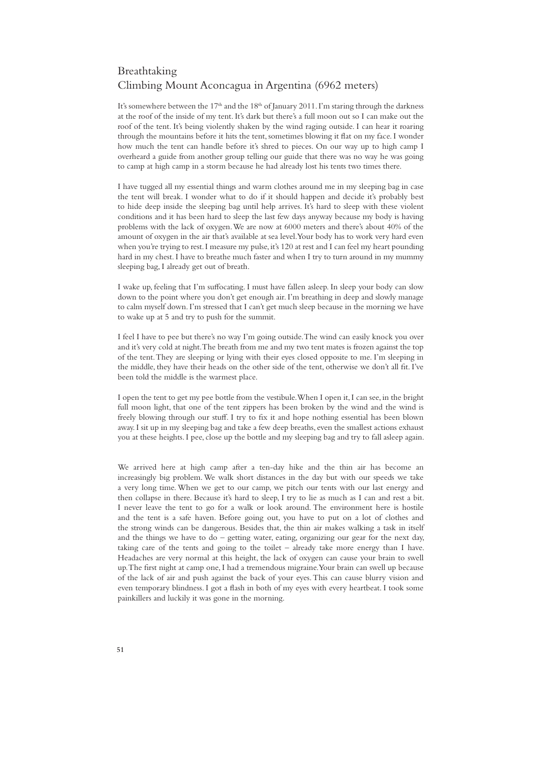## Breathtaking Climbing Mount Aconcagua in Argentina (6962 meters)

It's somewhere between the 17<sup>th</sup> and the 18<sup>th</sup> of January 2011. I'm staring through the darkness at the roof of the inside of my tent. It's dark but there's a full moon out so I can make out the roof of the tent. It's being violently shaken by the wind raging outside. I can hear it roaring through the mountains before it hits the tent, sometimes blowing it flat on my face. I wonder how much the tent can handle before it's shred to pieces. On our way up to high camp I overheard a guide from another group telling our guide that there was no way he was going to camp at high camp in a storm because he had already lost his tents two times there.

I have tugged all my essential things and warm clothes around me in my sleeping bag in case the tent will break. I wonder what to do if it should happen and decide it's probably best to hide deep inside the sleeping bag until help arrives. It's hard to sleep with these violent conditions and it has been hard to sleep the last few days anyway because my body is having problems with the lack of oxygen. We are now at 6000 meters and there's about 40% of the amount of oxygen in the air that's available at sea level. Your body has to work very hard even when you're trying to rest. I measure my pulse, it's 120 at rest and I can feel my heart pounding hard in my chest. I have to breathe much faster and when I try to turn around in my mummy sleeping bag, I already get out of breath.

I wake up, feeling that I'm suffocating. I must have fallen asleep. In sleep your body can slow down to the point where you don't get enough air. I'm breathing in deep and slowly manage to calm myself down. I'm stressed that I can't get much sleep because in the morning we have to wake up at 5 and try to push for the summit.

I feel I have to pee but there's no way I'm going outside. The wind can easily knock you over and it's very cold at night. The breath from me and my two tent mates is frozen against the top of the tent. They are sleeping or lying with their eyes closed opposite to me. I'm sleeping in the middle, they have their heads on the other side of the tent, otherwise we don't all fit. I've been told the middle is the warmest place.

I open the tent to get my pee bottle from the vestibule. When I open it, I can see, in the bright full moon light, that one of the tent zippers has been broken by the wind and the wind is freely blowing through our stuff. I try to fix it and hope nothing essential has been blown away. I sit up in my sleeping bag and take a few deep breaths, even the smallest actions exhaust you at these heights. I pee, close up the bottle and my sleeping bag and try to fall asleep again.

We arrived here at high camp after a ten-day hike and the thin air has become an increasingly big problem. We walk short distances in the day but with our speeds we take a very long time. When we get to our camp, we pitch our tents with our last energy and then collapse in there. Because it's hard to sleep, I try to lie as much as I can and rest a bit. I never leave the tent to go for a walk or look around. The environment here is hostile and the tent is a safe haven. Before going out, you have to put on a lot of clothes and the strong winds can be dangerous. Besides that, the thin air makes walking a task in itself and the things we have to do – getting water, eating, organizing our gear for the next day, taking care of the tents and going to the toilet – already take more energy than I have. Headaches are very normal at this height, the lack of oxygen can cause your brain to swell up. The #rst night at camp one, I had a tremendous migraine. Your brain can swell up because of the lack of air and push against the back of your eyes. This can cause blurry vision and even temporary blindness. I got a flash in both of my eyes with every heartbeat. I took some painkillers and luckily it was gone in the morning.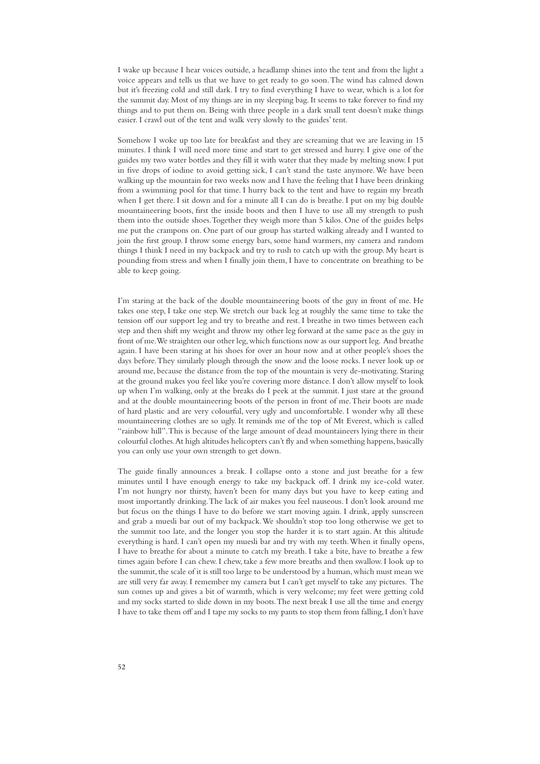I wake up because I hear voices outside, a headlamp shines into the tent and from the light a voice appears and tells us that we have to get ready to go soon. The wind has calmed down but it's freezing cold and still dark. I try to find everything I have to wear, which is a lot for the summit day. Most of my things are in my sleeping bag. It seems to take forever to find my things and to put them on. Being with three people in a dark small tent doesn't make things easier. I crawl out of the tent and walk very slowly to the guides' tent.

Somehow I woke up too late for breakfast and they are screaming that we are leaving in 15 minutes. I think I will need more time and start to get stressed and hurry. I give one of the guides my two water bottles and they #ll it with water that they made by melting snow. I put in five drops of iodine to avoid getting sick, I can't stand the taste anymore. We have been walking up the mountain for two weeks now and I have the feeling that I have been drinking from a swimming pool for that time. I hurry back to the tent and have to regain my breath when I get there. I sit down and for a minute all I can do is breathe. I put on my big double mountaineering boots, first the inside boots and then I have to use all my strength to push them into the outside shoes. Together they weigh more than 5 kilos. One of the guides helps me put the crampons on. One part of our group has started walking already and I wanted to join the first group. I throw some energy bars, some hand warmers, my camera and random things I think I need in my backpack and try to rush to catch up with the group. My heart is pounding from stress and when I finally join them, I have to concentrate on breathing to be able to keep going.

I'm staring at the back of the double mountaineering boots of the guy in front of me. He takes one step, I take one step. We stretch our back leg at roughly the same time to take the tension off our support leg and try to breathe and rest. I breathe in two times between each step and then shift my weight and throw my other leg forward at the same pace as the guy in front of me. We straighten our other leg, which functions now as our support leg. And breathe again. I have been staring at his shoes for over an hour now and at other people's shoes the days before. They similarly plough through the snow and the loose rocks. I never look up or around me, because the distance from the top of the mountain is very de-motivating. Staring at the ground makes you feel like you're covering more distance. I don't allow myself to look up when I'm walking, only at the breaks do I peek at the summit. I just stare at the ground and at the double mountaineering boots of the person in front of me. Their boots are made of hard plastic and are very colourful, very ugly and uncomfortable. I wonder why all these mountaineering clothes are so ugly. It reminds me of the top of Mt Everest, which is called "rainbow hill". This is because of the large amount of dead mountaineers lying there in their colourful clothes. At high altitudes helicopters can't fly and when something happens, basically you can only use your own strength to get down.

The guide finally announces a break. I collapse onto a stone and just breathe for a few minutes until I have enough energy to take my backpack off. I drink my ice-cold water. I'm not hungry nor thirsty, haven't been for many days but you have to keep eating and most importantly drinking. The lack of air makes you feel nauseous. I don't look around me but focus on the things I have to do before we start moving again. I drink, apply sunscreen and grab a muesli bar out of my backpack. We shouldn't stop too long otherwise we get to the summit too late, and the longer you stop the harder it is to start again. At this altitude everything is hard. I can't open my muesli bar and try with my teeth. When it finally opens, I have to breathe for about a minute to catch my breath. I take a bite, have to breathe a few times again before I can chew. I chew, take a few more breaths and then swallow. I look up to the summit, the scale of it is still too large to be understood by a human, which must mean we are still very far away. I remember my camera but I can't get myself to take any pictures. The sun comes up and gives a bit of warmth, which is very welcome; my feet were getting cold and my socks started to slide down in my boots. The next break I use all the time and energy I have to take them off and I tape my socks to my pants to stop them from falling, I don't have